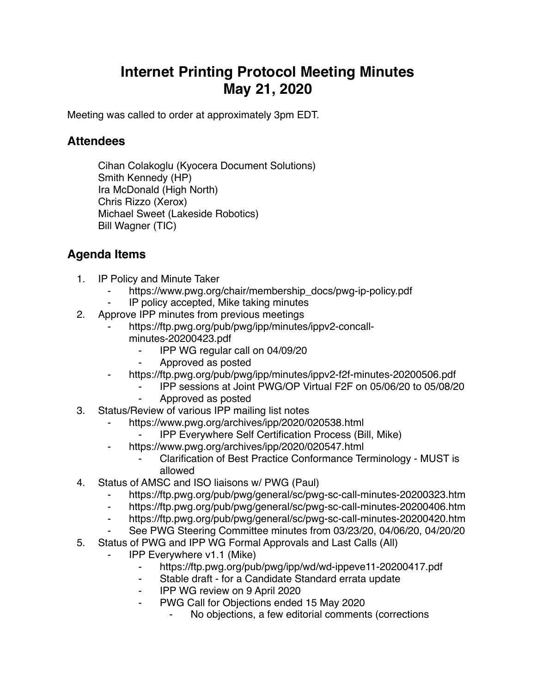## **Internet Printing Protocol Meeting Minutes May 21, 2020**

Meeting was called to order at approximately 3pm EDT.

## **Attendees**

Cihan Colakoglu (Kyocera Document Solutions) Smith Kennedy (HP) Ira McDonald (High North) Chris Rizzo (Xerox) Michael Sweet (Lakeside Robotics) Bill Wagner (TIC)

## **Agenda Items**

- 1. IP Policy and Minute Taker
	- https://www.pwg.org/chair/membership\_docs/pwg-ip-policy.pdf
	- IP policy accepted, Mike taking minutes
- 2. Approve IPP minutes from previous meetings
	- https://ftp.pwg.org/pub/pwg/ipp/minutes/ippv2-concallminutes-20200423.pdf
		- ⁃ IPP WG regular call on 04/09/20
		- ⁃ Approved as posted
	- https://ftp.pwg.org/pub/pwg/ipp/minutes/ippv2-f2f-minutes-20200506.pdf
		- ⁃ IPP sessions at Joint PWG/OP Virtual F2F on 05/06/20 to 05/08/20
		- ⁃ Approved as posted
- 3. Status/Review of various IPP mailing list notes
	- ⁃ https://www.pwg.org/archives/ipp/2020/020538.html
		- ⁃ IPP Everywhere Self Certification Process (Bill, Mike)
	- https://www.pwg.org/archives/ipp/2020/020547.html
		- ⁃ Clarification of Best Practice Conformance Terminology MUST is allowed
- 4. Status of AMSC and ISO liaisons w/ PWG (Paul)
	- ⁃ https://ftp.pwg.org/pub/pwg/general/sc/pwg-sc-call-minutes-20200323.htm
	- ⁃ https://ftp.pwg.org/pub/pwg/general/sc/pwg-sc-call-minutes-20200406.htm
	- ⁃ https://ftp.pwg.org/pub/pwg/general/sc/pwg-sc-call-minutes-20200420.htm
	- See PWG Steering Committee minutes from 03/23/20, 04/06/20, 04/20/20
- 5. Status of PWG and IPP WG Formal Approvals and Last Calls (All)
	- **IPP Everywhere v1.1 (Mike)** 
		- ⁃ https://ftp.pwg.org/pub/pwg/ipp/wd/wd-ippeve11-20200417.pdf
		- ⁃ Stable draft for a Candidate Standard errata update
		- ⁃ IPP WG review on 9 April 2020
		- ⁃ PWG Call for Objections ended 15 May 2020
			- No objections, a few editorial comments (corrections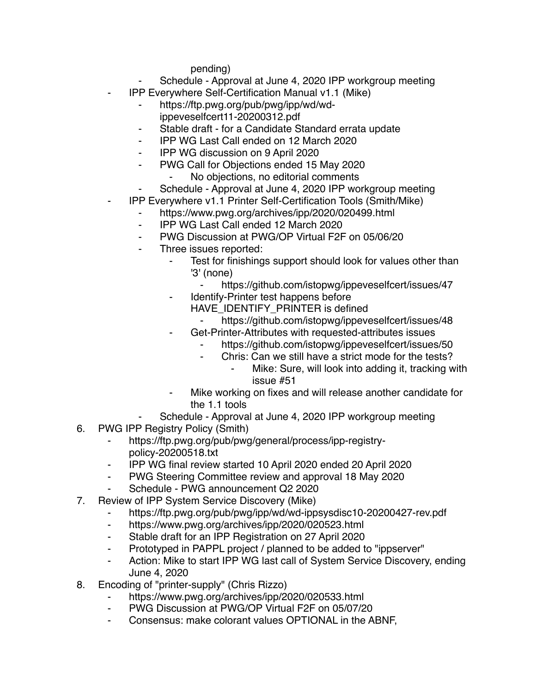pending)

- Schedule Approval at June 4, 2020 IPP workgroup meeting
- ⁃ IPP Everywhere Self-Certification Manual v1.1 (Mike)
	- ⁃ https://ftp.pwg.org/pub/pwg/ipp/wd/wdippeveselfcert11-20200312.pdf
	- Stable draft for a Candidate Standard errata update
	- ⁃ IPP WG Last Call ended on 12 March 2020
	- ⁃ IPP WG discussion on 9 April 2020
	- ⁃ PWG Call for Objections ended 15 May 2020
		- No objections, no editorial comments
	- Schedule Approval at June 4, 2020 IPP workgroup meeting
- ⁃ IPP Everywhere v1.1 Printer Self-Certification Tools (Smith/Mike)
	- https://www.pwg.org/archives/ipp/2020/020499.html
	- ⁃ IPP WG Last Call ended 12 March 2020
	- ⁃ PWG Discussion at PWG/OP Virtual F2F on 05/06/20
	- Three issues reported:
		- Test for finishings support should look for values other than '3' (none)
			- https://github.com/istopwg/ippeveselfcert/issues/47
		- ⁃ Identify-Printer test happens before
			- HAVE\_IDENTIFY\_PRINTER is defined
				- https://github.com/istopwg/ippeveselfcert/issues/48
		- Get-Printer-Attributes with requested-attributes issues
			- https://github.com/istopwg/ippeveselfcert/issues/50
			- ⁃ Chris: Can we still have a strict mode for the tests?
				- Mike: Sure, will look into adding it, tracking with issue #51
		- Mike working on fixes and will release another candidate for the 1.1 tools
- Schedule Approval at June 4, 2020 IPP workgroup meeting
- 6. PWG IPP Registry Policy (Smith)
	- ⁃ https://ftp.pwg.org/pub/pwg/general/process/ipp-registrypolicy-20200518.txt
	- ⁃ IPP WG final review started 10 April 2020 ended 20 April 2020
	- ⁃ PWG Steering Committee review and approval 18 May 2020
	- Schedule PWG announcement Q2 2020
- 7. Review of IPP System Service Discovery (Mike)
	- https://ftp.pwg.org/pub/pwg/ipp/wd/wd-ippsysdisc10-20200427-rev.pdf
	- ⁃ https://www.pwg.org/archives/ipp/2020/020523.html
	- ⁃ Stable draft for an IPP Registration on 27 April 2020
	- ⁃ Prototyped in PAPPL project / planned to be added to "ippserver"
	- ⁃ Action: Mike to start IPP WG last call of System Service Discovery, ending June 4, 2020
- 8. Encoding of "printer-supply" (Chris Rizzo)
	- https://www.pwg.org/archives/ipp/2020/020533.html
	- ⁃ PWG Discussion at PWG/OP Virtual F2F on 05/07/20
	- ⁃ Consensus: make colorant values OPTIONAL in the ABNF,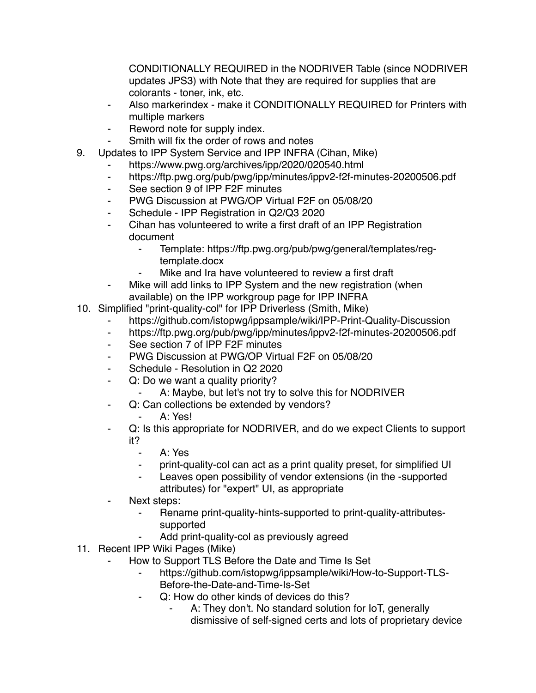CONDITIONALLY REQUIRED in the NODRIVER Table (since NODRIVER updates JPS3) with Note that they are required for supplies that are colorants - toner, ink, etc.

- Also markerindex make it CONDITIONALLY REQUIRED for Printers with multiple markers
- Reword note for supply index.
- Smith will fix the order of rows and notes
- 9. Updates to IPP System Service and IPP INFRA (Cihan, Mike)
	- https://www.pwg.org/archives/ipp/2020/020540.html
	- ⁃ https://ftp.pwg.org/pub/pwg/ipp/minutes/ippv2-f2f-minutes-20200506.pdf
	- ⁃ See section 9 of IPP F2F minutes
	- ⁃ PWG Discussion at PWG/OP Virtual F2F on 05/08/20
	- Schedule IPP Registration in Q2/Q3 2020
	- Cihan has volunteered to write a first draft of an IPP Registration document
		- Template: https://ftp.pwg.org/pub/pwg/general/templates/regtemplate.docx
		- Mike and Ira have volunteered to review a first draft
	- Mike will add links to IPP System and the new registration (when available) on the IPP workgroup page for IPP INFRA
- 10. Simplified "print-quality-col" for IPP Driverless (Smith, Mike)
	- https://github.com/istopwg/ippsample/wiki/IPP-Print-Quality-Discussion
	- https://ftp.pwg.org/pub/pwg/ipp/minutes/ippv2-f2f-minutes-20200506.pdf
	- ⁃ See section 7 of IPP F2F minutes
	- ⁃ PWG Discussion at PWG/OP Virtual F2F on 05/08/20
	- Schedule Resolution in Q2 2020
	- ⁃ Q: Do we want a quality priority?
		- A: Maybe, but let's not try to solve this for NODRIVER
	- ⁃ Q: Can collections be extended by vendors?
		- A: Yes!
	- Q: Is this appropriate for NODRIVER, and do we expect Clients to support it?
		- A: Yes
		- print-quality-col can act as a print quality preset, for simplified UI
		- ⁃ Leaves open possibility of vendor extensions (in the -supported attributes) for "expert" UI, as appropriate
	- Next steps:
		- ⁃ Rename print-quality-hints-supported to print-quality-attributessupported
			- Add print-quality-col as previously agreed
- 11. Recent IPP Wiki Pages (Mike)
	- How to Support TLS Before the Date and Time Is Set
		- https://qithub.com/istopwg/ippsample/wiki/How-to-Support-TLS-Before-the-Date-and-Time-Is-Set
		- Q: How do other kinds of devices do this?
			- A: They don't. No standard solution for IoT, generally dismissive of self-signed certs and lots of proprietary device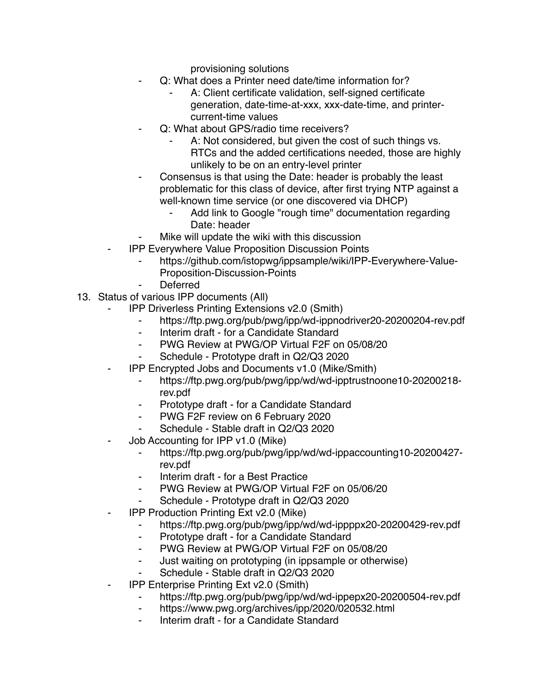provisioning solutions

- Q: What does a Printer need date/time information for?
	- A: Client certificate validation, self-signed certificate generation, date-time-at-xxx, xxx-date-time, and printercurrent-time values
	- Q: What about GPS/radio time receivers?
		- A: Not considered, but given the cost of such things vs. RTCs and the added certifications needed, those are highly unlikely to be on an entry-level printer
- Consensus is that using the Date: header is probably the least problematic for this class of device, after first trying NTP against a well-known time service (or one discovered via DHCP)
	- Add link to Google "rough time" documentation regarding Date: header
	- Mike will update the wiki with this discussion
- **IPP Everywhere Value Proposition Discussion Points** 
	- https://github.com/istopwg/ippsample/wiki/IPP-Everywhere-Value-Proposition-Discussion-Points
	- **Deferred**
- 13. Status of various IPP documents (All)
	- **IPP Driverless Printing Extensions v2.0 (Smith)** 
		- ⁃ https://ftp.pwg.org/pub/pwg/ipp/wd-ippnodriver20-20200204-rev.pdf
		- Interim draft for a Candidate Standard
		- PWG Review at PWG/OP Virtual F2F on 05/08/20
		- Schedule Prototype draft in Q2/Q3 2020
	- ⁃ IPP Encrypted Jobs and Documents v1.0 (Mike/Smith)
		- ⁃ https://ftp.pwg.org/pub/pwg/ipp/wd/wd-ipptrustnoone10-20200218 rev.pdf
		- Prototype draft for a Candidate Standard
		- ⁃ PWG F2F review on 6 February 2020
		- Schedule Stable draft in Q2/Q3 2020
	- Job Accounting for IPP v1.0 (Mike)
		- ⁃ https://ftp.pwg.org/pub/pwg/ipp/wd/wd-ippaccounting10-20200427 rev.pdf
		- Interim draft for a Best Practice
		- PWG Review at PWG/OP Virtual F2F on 05/06/20
		- ⁃ Schedule Prototype draft in Q2/Q3 2020
	- **IPP Production Printing Ext v2.0 (Mike)** 
		- https://ftp.pwg.org/pub/pwg/ipp/wd/wd-ippppx20-20200429-rev.pdf
		- ⁃ Prototype draft for a Candidate Standard
		- ⁃ PWG Review at PWG/OP Virtual F2F on 05/08/20
		- ⁃ Just waiting on prototyping (in ippsample or otherwise)
		- Schedule Stable draft in Q2/Q3 2020
	- **IPP Enterprise Printing Ext v2.0 (Smith)** 
		- https://ftp.pwg.org/pub/pwg/ipp/wd/wd-ippepx20-20200504-rev.pdf
		- ⁃ https://www.pwg.org/archives/ipp/2020/020532.html
		- Interim draft for a Candidate Standard